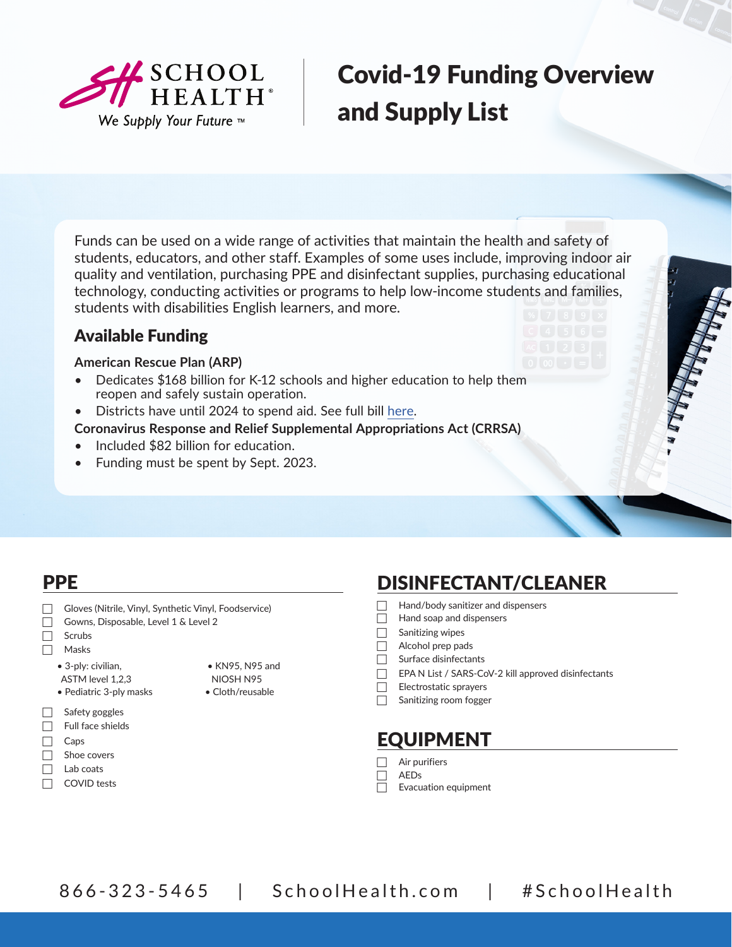

# Covid-19 Funding Overview and Supply List

Funds can be used on a wide range of activities that maintain the health and safety of students, educators, and other staff. Examples of some uses include, improving indoor air quality and ventilation, purchasing PPE and disinfectant supplies, purchasing educational technology, conducting activities or programs to help l[ow-incom](https://www.congress.gov/bill/117th-congress/house-bill/1319/text#toc-HC9CE46A721204EB081A88ACD8FB287D5)e students and families, students with disabilities English learners, and more.

### Available Funding

#### **American Rescue Plan (ARP)**

- Dedicates \$168 billion for K-12 schools and higher education to help them reopen and safely sustain operation.
- Districts have until 2024 to spend aid. See full bill [here](https://www.congress.gov/bill/117th-congress/house-bill/1319/text).
- **Coronavirus Response and Relief Supplemental Appropriations Act (CRRSA)**
- Included \$82 billion for education.
- Funding must be spent by Sept. 2023.

| <b>PPE</b>                                                                                                                                                                                                                                                                                                                                 |                                                                                                                                                                                                                                             | <b>DISINFECTANT/CLEANER</b>                                              |
|--------------------------------------------------------------------------------------------------------------------------------------------------------------------------------------------------------------------------------------------------------------------------------------------------------------------------------------------|---------------------------------------------------------------------------------------------------------------------------------------------------------------------------------------------------------------------------------------------|--------------------------------------------------------------------------|
| Gloves (Nitrile, Vinyl, Synthetic Vinyl, Foodservice)<br>Gowns, Disposable, Level 1 & Level 2<br>Scrubs<br>Masks<br>• 3-ply: civilian,<br>• KN95, N95 and<br>NIOSH N95<br>ASTM level 1,2,3<br>• Cloth/reusable<br>• Pediatric 3-ply masks<br>Safety goggles<br>Full face shields<br>Caps<br>Shoe covers<br>Lab coats<br><b>COVID</b> tests | Hand/body sanitizer and dispensers<br>Hand soap and dispensers<br>Sanitizing wipes<br>Alcohol prep pads<br>Surface disinfectants<br>EPA N List / SARS-CoV-2 kill approved disinfectants<br>Electrostatic sprayers<br>Sanitizing room fogger |                                                                          |
|                                                                                                                                                                                                                                                                                                                                            |                                                                                                                                                                                                                                             | <b>EQUIPMENT</b><br>Air purifiers<br><b>AEDs</b><br>Evacuation equipment |